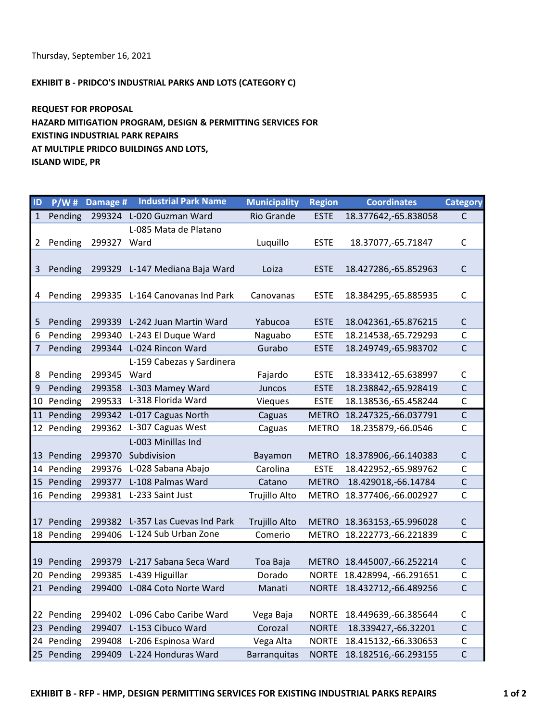Thursday, September 16, 2021

## EXHIBIT B - PRIDCO'S INDUSTRIAL PARKS AND LOTS (CATEGORY C)

REQUEST FOR PROPOSAL HAZARD MITIGATION PROGRAM, DESIGN & PERMITTING SERVICES FOR EXISTING INDUSTRIAL PARK REPAIRS AT MULTIPLE PRIDCO BUILDINGS AND LOTS, ISLAND WIDE, PR

| ID             | P/W#       | Damage #    | <b>Industrial Park Name</b>      | <b>Municipality</b> | <b>Region</b> | <b>Coordinates</b>         | <b>Category</b> |
|----------------|------------|-------------|----------------------------------|---------------------|---------------|----------------------------|-----------------|
| 1              | Pending    |             | 299324 L-020 Guzman Ward         | <b>Rio Grande</b>   | <b>ESTE</b>   | 18.377642,-65.838058       | C               |
|                |            |             | L-085 Mata de Platano            |                     |               |                            |                 |
| 2              | Pending    | 299327      | Ward                             | Luquillo            | <b>ESTE</b>   | 18.37077, - 65.71847       | $\mathsf{C}$    |
|                |            |             |                                  |                     |               |                            |                 |
| 3              | Pending    |             | 299329 L-147 Mediana Baja Ward   | Loiza               | <b>ESTE</b>   | 18.427286,-65.852963       | $\mathsf{C}$    |
|                |            |             |                                  |                     |               |                            |                 |
| 4              | Pending    |             | 299335 L-164 Canovanas Ind Park  | Canovanas           | <b>ESTE</b>   | 18.384295, -65.885935      | $\mathsf{C}$    |
|                |            |             |                                  |                     |               |                            |                 |
| 5              | Pending    | 299339      | L-242 Juan Martin Ward           | Yabucoa             | <b>ESTE</b>   | 18.042361,-65.876215       | $\mathsf C$     |
| 6              | Pending    | 299340      | L-243 El Duque Ward              | Naguabo             | <b>ESTE</b>   | 18.214538, -65.729293      | $\mathsf{C}$    |
| $\overline{7}$ | Pending    |             | 299344 L-024 Rincon Ward         | Gurabo              | <b>ESTE</b>   | 18.249749, -65.983702      | C               |
|                |            |             | L-159 Cabezas y Sardinera        |                     |               |                            |                 |
| 8              | Pending    | 299345 Ward |                                  | Fajardo             | <b>ESTE</b>   | 18.333412,-65.638997       | $\mathsf{C}$    |
| 9              | Pending    |             | 299358 L-303 Mamey Ward          | Juncos              | <b>ESTE</b>   | 18.238842,-65.928419       | $\mathsf{C}$    |
| 10             | Pending    |             | 299533 L-318 Florida Ward        | <b>Vieques</b>      | <b>ESTE</b>   | 18.138536, -65.458244      | $\mathsf C$     |
|                | 11 Pending |             | 299342 L-017 Caguas North        | Caguas              | <b>METRO</b>  | 18.247325,-66.037791       | C               |
|                | 12 Pending | 299362      | L-307 Caguas West                | Caguas              | <b>METRO</b>  | 18.235879,-66.0546         | $\mathsf{C}$    |
|                |            |             | L-003 Minillas Ind               |                     |               |                            |                 |
|                | 13 Pending | 299370      | Subdivision                      | Bayamon             | <b>METRO</b>  | 18.378906,-66.140383       | $\mathsf{C}$    |
|                | 14 Pending |             | 299376 L-028 Sabana Abajo        | Carolina            | <b>ESTE</b>   | 18.422952,-65.989762       | $\mathsf{C}$    |
|                | 15 Pending | 299377      | L-108 Palmas Ward                | Catano              | <b>METRO</b>  | 18.429018, -66.14784       | $\mathsf{C}$    |
|                | 16 Pending | 299381      | L-233 Saint Just                 | Trujillo Alto       | <b>METRO</b>  | 18.377406,-66.002927       | $\mathsf{C}$    |
|                |            |             |                                  |                     |               |                            |                 |
| 17             | Pending    |             | 299382 L-357 Las Cuevas Ind Park | Trujillo Alto       | <b>METRO</b>  | 18.363153, -65.996028      | $\mathsf C$     |
|                | 18 Pending |             | 299406 L-124 Sub Urban Zone      | Comerio             | <b>METRO</b>  | 18.222773, -66.221839      | C               |
|                |            |             |                                  |                     |               |                            |                 |
| 19             | Pending    | 299379      | L-217 Sabana Seca Ward           | Toa Baja            |               | METRO 18.445007,-66.252214 | $\mathsf{C}$    |
|                | 20 Pending | 299385      | L-439 Higuillar                  | Dorado              | <b>NORTE</b>  | 18.428994, -66.291651      | $\mathsf{C}$    |
|                | 21 Pending | 299400      | L-084 Coto Norte Ward            | Manati              | <b>NORTE</b>  | 18.432712,-66.489256       | C               |
|                |            |             |                                  |                     |               |                            |                 |
|                | 22 Pending |             | 299402 L-096 Cabo Caribe Ward    | Vega Baja           | <b>NORTE</b>  | 18.449639, -66.385644      | C               |
|                | 23 Pending |             | 299407 L-153 Cibuco Ward         | Corozal             | <b>NORTE</b>  | 18.339427, -66.32201       | $\mathsf{C}$    |
|                | 24 Pending | 299408      | L-206 Espinosa Ward              | Vega Alta           | <b>NORTE</b>  | 18.415132,-66.330653       | $\mathsf{C}$    |
|                |            |             |                                  |                     |               |                            |                 |